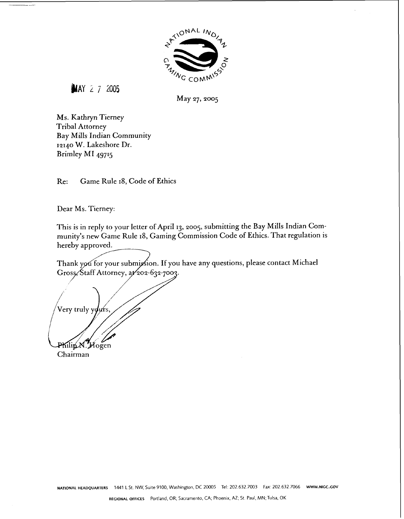

**MAY 2 7 2005** 

May 27, 2005

Ms. Kathryn Tierney Tribal Attorney Bay Mills Indian Community 12140 **W.** Lakeshore Dr. Brimley MI 49715

Re: Game Rule 18, Code of Ethics

Dear Ms. Tierney:

This is in reply to your letter of April 13, 2005, submitting the Bay Mills Indian Community's new Game Rule 18, Gaming Commission Code of Ethics. That regulation is hereby approved.

Thank you for your submission. If you have any questions, please contact Michael Gross/Staff Attorney, at 202-632-7003.

Very truly y lurs Philip N. Hogen Chairman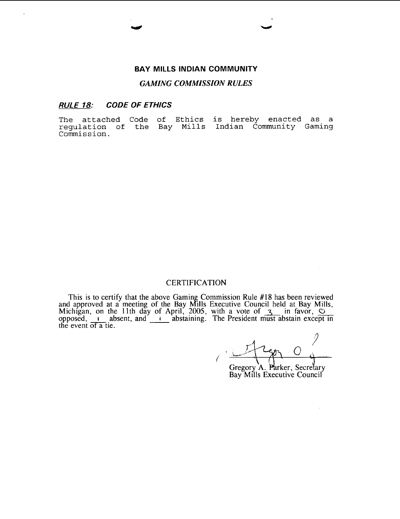#### **BAY MILLS INDIAN COMMUNITY**

#### *GAMING COMMISSION RULES*

#### **RULE 78: CODE OF ETHICS**

**The attached Code of Ethics is hereby enacted as a regulation of the Bay Mills Indian Community Gaming Commission.** 

#### **CERTIFICATION**

This is to certify that the above Gaming Commission Rule #18 has been reviewed and approved at a meeting of the Bay Mills Executive Council held at Bay Mills, Michigan, on the 11th day of April, 2005, with a vote of  $\frac{3}{\cdot}$  in favor,  $\frac{0}{\cdot}$ opposed, **I** absent, and **I** abstaining. The President must abstain exce the event of  $\overline{a}$  tie.

Gregory A. Parker, Secretary

Bay Mills Executive Council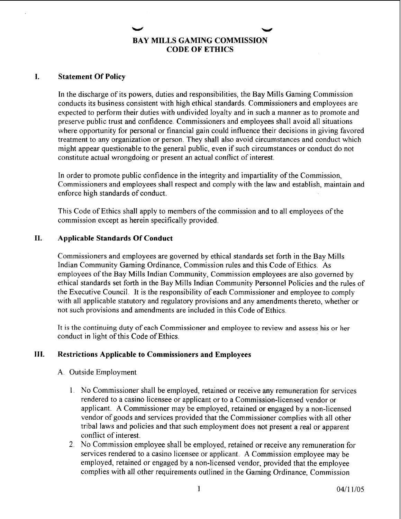# **BAY MILLS GAMING COMMISSION CODE OF ETHICS**

#### **I. Statement Of Policy**

In the discharge of its powers, duties and responsibilities, the Bay Mills Gaming Commission conducts its business consistent with high ethical standards. Commissioners and employees are expected to perform their duties with undivided loyalty and in such a manner as to promote and preserve public trust and confidence. Commissioners and employees shall avoid all situations where opportunity for personal or financial gain could influence their decisions in giving favored treatment to any organization or person. They shall also avoid circumstances and conduct which might appear questionable to the general public, even if such circumstances or conduct do not constitute actual wrongdoing or present an actual conflict of interest.

In order to promote public confidence in the integrity and impartiality of the Commission, Commissioners and employees shall respect and comply with the law and establish, maintain and enforce high standards of conduct.

This Code of Ethics shall apply to members of the commission and to all employees of the commission except as herein specifically provided.

#### **11. Applicable Standards Of Conduct**

Commissioners and employees are governed by ethical standards set forth in the Bay Mills Indian Community Gaming Ordinance, Commission rules and this Code of Ethics. As employees of the Bay Mills Indian Community, Commission employees are also governed by ethical standards set forth in the Bay Mills Indian Community Personnel Policies and the rules of the Executive Council. It is the responsibility of each Commissioner and employee to comply with all applicable statutory and regulatory provisions and any amendments thereto, whether or not such provisions and amendments are included in this Code of Ethics.

It is the continuing duty of each Commissioner and employee to review and assess his or her conduct in light of this Code of Ethics.

### **111. Restrictions Applicable to Commissioners and Employees**

#### A. Outside Employment

- 1. No Commissioner shall be employed, retained or receive any remuneration for services rendered to a casino licensee or applicant or to a Commission-licensed vendor or applicant. A Commissioner may be employed, retained or engaged by a non-licensed vendor of goods and services provided that the Commissioner complies with all other tribal laws and policies and that such employment does not present a real or apparent conflict of interest.
- 2. No Commission employee shall be employed, retained or receive any remuneration for services rendered to a casino licensee or applicant. A Commission employee may be employed, retained or engaged by a non-licensed vendor, provided that the employee complies with all other requirements outlined in the Gaming Ordinance, Commission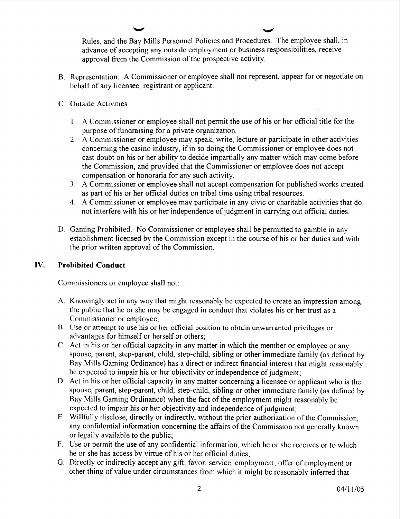**Ir\* u**  Rules, and the Bay Mills Personnel Policies and Procedures. The employee shall, in advance of accepting any outside employment or business responsibilities, receive approval from the Commission of the prospective activity.

- B. Representation. A Commissioner or employee shall not represent, appear for or negotiate on behalf of any licensee, registrant or applicant.
- C. Outside Activities
	- 1. A Commissioner or employee shall not permit the use of his or her official title for the purpose of hndraising for a private organization.
	- 2. A Commissioner or employee may speak, write, lecture or participate in other activities concerning the casino industry, if in so doing the Commissioner or employee does not cast doubt on his or her ability to decide impartially any matter which may come before the Commission, and provided that the Commissioner or employee does not accept compensation or honoraria for any such activity.
	- **3.** A Commissioner or employee shall not accept compensation for published works created as part of his or her official duties on tribal time using tribal resources.
	- 4. A Commissioner or employee may participate in any civic or charitable activities that do not interfere with his or her independence of judgment in carrying out oficial duties.
- D. Gaming Prohibited. No Commissioner or employee shall be permitted to gamble in any establishment licensed by the Commission except in the course of his or her duties and with the prior written approval of the Commission.

### IV. Prohibited Conduct

Commissioners or employee shall not:

- A. Knowingly act in any way that might reasonably be expected to create an impression among the public that he or she may be engaged in conduct that violates his or her trust as a Commissioner or employee;
- **B** Use or attempt to use his or her official position to obtain unwarranted privileges or advantages for himself or herself or others;
- C. Act in his or her official capacity in any matter in which the member or employee or any spouse, parent, step-parent, child, step-child, sibling or other immediate family (as defined by Bay Mills Gaming Ordinance) has a direct or indirect financial interest that might reasonably be expected to impair his or her objectivity or independence of judgment;
- D. Act in his or her official capacity in any matter concerning a licensee or applicant who is the spouse, parent, step-parent, child, step-child, sibling or other immediate family (as defined by Bay Mills Gaming Ordinance) when the fact of the employment might reasonably be expected to impair his or her objectivity and independence of judgment;
- E. Willhlly disclose, directly or indirectly, without the prior authorization of the Commission, any confidential information concerning the affairs of the Commission not generally known or legally available to the public;
- F. Use or permit the use of any confidential information, which he or she receives or to which he or she has access by virtue of his or her official duties;
- G. Directly or indirectly accept any gift, favor, service, employment, offer of employment or other thing of value under circumstances from which it might be reasonably inferred that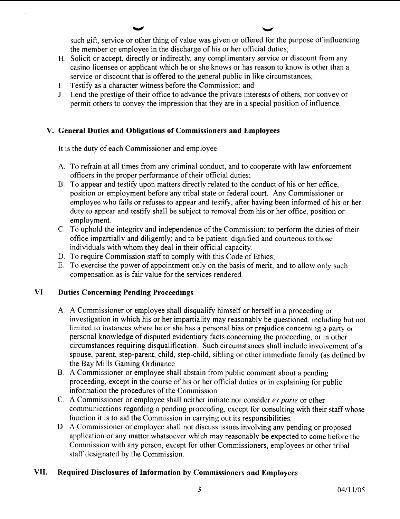**u u**  such gift, service or other thing of value was given or offered for the purpose of influencing the member or employee in the discharge of his or her official duties;

- H. Solicit or accept, directly or indirectly, any complimentary service or discount from any casino licensee or applicant which he or she knows or has reason to know is other than a service or discount that is offered to the general public in like circumstances;
- I. Testify as a character witness before the Commission; and
- J. Lend the prestige of their office to advance the private interests of others, nor convey or permit others to convey the impression that they are in a special position of influence.

# **V. General Duties and Obligations of Commissioners and Employees**

It is the duty of each Commissioner and employee:

- A. To refrain at all times from any criminal conduct, and to cooperate with law enforcement officers in the proper performance of their official duties;
- B. To appear and testify upon matters directly related to the conduct of his or her office, position or employment before any tribal state or federal court. Any Commissioner or employee who fails or refuses to appear and testify, after having been informed of his or her duty to appear and testify shall be subject to removal from his or her office, position or employment.
- C. To uphold the integrity and independence of the Commission; to perform the duties of their office impartially and diligently; and to be patient, dignified and courteous to those individuals with whom they deal in their official capacity.
- D. To require Commission staff to comply with this Code of Ethics;
- E. To exercise the power of appointment only on the basis of merit, and to allow only such compensation as is fair value for the services rendered.

# **VI Duties Concerning Pending Proceedings**

- A. A Commissioner or employee shall disqualify himself or herself in a proceeding or investigation in which his or her impartiality may reasonably be questioned, including but not limited to instances where he or she has a personal bias or prejudice concerning a party or personal knowledge of disputed evidentiary facts concerning the proceeding, or in other circumstances requiring disqualification. Such circumstances shall include involvement of a spouse, parent, step-parent, child, step-child, sibling or other immediate family (as defined by the Bay Mills Gaming Ordinance.
- B. A Commissioner or employee shall abstain from public comment about a pending proceeding, except in the course of his or her official duties or in explaining for public information the procedures of the Commission.
- C. A Commissioner or employee shall neither initiate nor consider *ex parte* or other communications regarding a pending proceeding, except for consulting with their staff whose function it is to aid the Commission in carrying out its responsibilities.
- D. A Commissioner or employee shall not discuss issues involving any pending or proposed application or any matter whatsoever which may reasonably be expected to come before the Commission with any person, except for other Commissioners, employees or other tribal staff designated by the Commission.

# **VII. Required Disclosures of Information by Commissioners and Employees**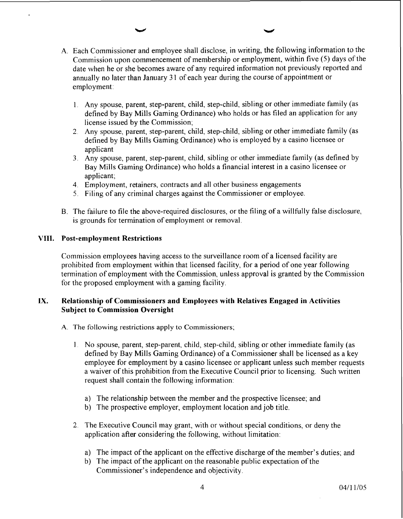- A. Each Commissioner and employee shall disclose, in writing, the following information to the Commission upon commencement of membership or employment, within five (5) days of the date when he or she becomes aware of any required information not previously reported and annually no later than January 3 1 of each year during the course of appointment or employment:
	- 1. Any spouse, parent, step-parent, child, step-child, sibling or other immediate family (as defined by Bay Mills Gaming Ordinance) who holds or has filed an application for any license issued by the Commission;
	- 2. Any spouse, parent, step-parent, child, step-child, sibling or other immediate family (as defined by Bay Mills Gaming Ordinance) who is employed by a casino licensee or applicant
	- **3.** Any spouse, parent, step-parent, child, sibling or other immediate family (as defined by Bay Mills Gaming Ordinance) who holds a financial interest in a casino licensee or applicant;
	- 4. Employment, retainers, contracts and all other business engagements
	- 5. Filing of any criminal charges against the Commissioner or employee.
- B. The failure to file the above-required disclosures, or the filing of a willfully false disclosure, is grounds for termination of employment or removal.

#### **VIII. Post-employment Restrictions**

Commission employees having access to the surveillance room of a licensed facility are prohibited from employment within that licensed facility, for a period of one year following termination of employment with the Commission, unless approval is granted by the Commission for the proposed employment with a gaming facility.

### **LX. Relationship of Commissioners and Employees with Relatives Engaged in Activities Subject to Commission Oversight**

- A. The following restrictions **apply** to Commissioners;
	- 1. No spouse, parent, step-parent, child, step-child, sibling or other immediate family (as defined by Bay Mills Gaming Ordinance) of a Commissioner shall be licensed as a key employee for employment by a casino licensee or applicant unless such member requests a waiver of this prohibition from the Executive Council prior to licensing. Such written request shall contain the following information:
		- a) The relationship between the member and the prospective licensee; and
		- b) The prospective employer, employment location and job title.
	- 2. The Executive Council may grant, with or without special conditions, or deny the application after considering the following, without limitation:
		- a) The impact of the applicant on the effective discharge of the member's duties; and
		- b) The impact of the applicant on the reasonable public expectation of the Commissioner's independence and objectivity.